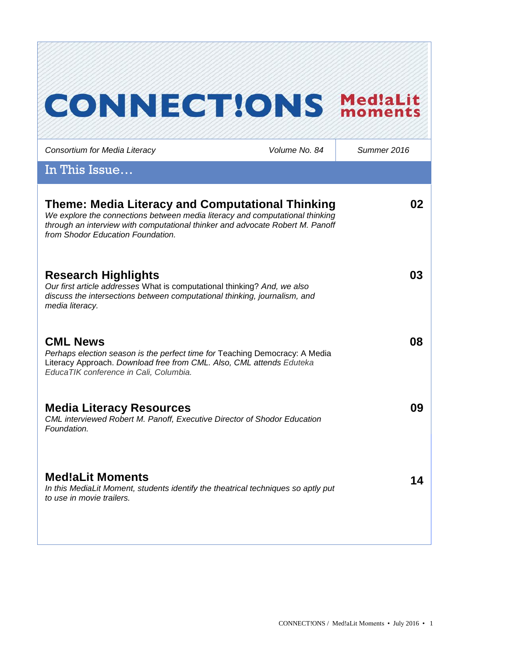# **CONNECT!ONS Med!aLit**

| Consortium for Media Literacy                                                                                                                                                                                                                          | Volume No. 84 | Summer 2016 |
|--------------------------------------------------------------------------------------------------------------------------------------------------------------------------------------------------------------------------------------------------------|---------------|-------------|
| In This Issue                                                                                                                                                                                                                                          |               |             |
| Theme: Media Literacy and Computational Thinking<br>We explore the connections between media literacy and computational thinking<br>through an interview with computational thinker and advocate Robert M. Panoff<br>from Shodor Education Foundation. |               | 02          |
| <b>Research Highlights</b><br>Our first article addresses What is computational thinking? And, we also<br>discuss the intersections between computational thinking, journalism, and<br>media literacy.                                                 |               | 03          |
| <b>CML News</b><br>Perhaps election season is the perfect time for Teaching Democracy: A Media<br>Literacy Approach. Download free from CML. Also, CML attends Eduteka<br>EducaTIK conference in Cali, Columbia.                                       |               | 08          |
| <b>Media Literacy Resources</b><br>CML interviewed Robert M. Panoff, Executive Director of Shodor Education<br>Foundation.                                                                                                                             |               | 09          |
| <b>Med!aLit Moments</b><br>In this MediaLit Moment, students identify the theatrical techniques so aptly put<br>to use in movie trailers.                                                                                                              |               | 14          |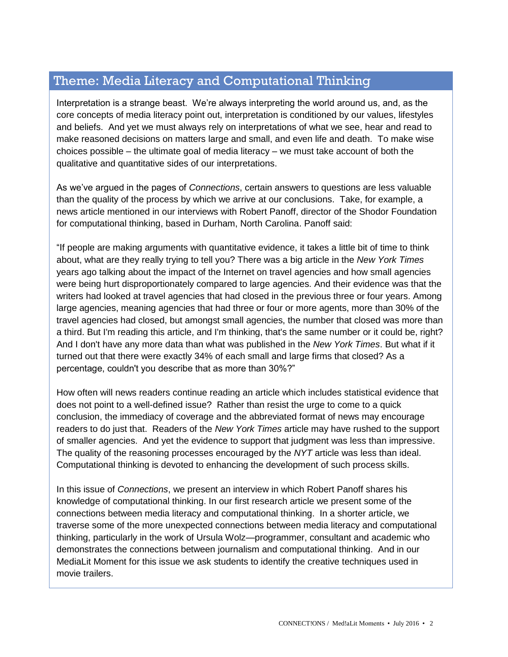# Theme: Media Literacy and Computational Thinking

Interpretation is a strange beast. We're always interpreting the world around us, and, as the core concepts of media literacy point out, interpretation is conditioned by our values, lifestyles and beliefs. And yet we must always rely on interpretations of what we see, hear and read to make reasoned decisions on matters large and small, and even life and death. To make wise choices possible – the ultimate goal of media literacy – we must take account of both the qualitative and quantitative sides of our interpretations.

As we've argued in the pages of *Connections*, certain answers to questions are less valuable than the quality of the process by which we arrive at our conclusions. Take, for example, a news article mentioned in our interviews with Robert Panoff, director of the Shodor Foundation for computational thinking, based in Durham, North Carolina. Panoff said:

"If people are making arguments with quantitative evidence, it takes a little bit of time to think about, what are they really trying to tell you? There was a big article in the *New York Times* years ago talking about the impact of the Internet on travel agencies and how small agencies were being hurt disproportionately compared to large agencies. And their evidence was that the writers had looked at travel agencies that had closed in the previous three or four years. Among large agencies, meaning agencies that had three or four or more agents, more than 30% of the travel agencies had closed, but amongst small agencies, the number that closed was more than a third. But I'm reading this article, and I'm thinking, that's the same number or it could be, right? And I don't have any more data than what was published in the *New York Times*. But what if it turned out that there were exactly 34% of each small and large firms that closed? As a percentage, couldn't you describe that as more than 30%?"

How often will news readers continue reading an article which includes statistical evidence that does not point to a well-defined issue? Rather than resist the urge to come to a quick conclusion, the immediacy of coverage and the abbreviated format of news may encourage readers to do just that. Readers of the *New York Times* article may have rushed to the support of smaller agencies. And yet the evidence to support that judgment was less than impressive. The quality of the reasoning processes encouraged by the *NYT* article was less than ideal. Computational thinking is devoted to enhancing the development of such process skills.

In this issue of *Connections*, we present an interview in which Robert Panoff shares his knowledge of computational thinking. In our first research article we present some of the connections between media literacy and computational thinking. In a shorter article, we traverse some of the more unexpected connections between media literacy and computational thinking, particularly in the work of Ursula Wolz—programmer, consultant and academic who demonstrates the connections between journalism and computational thinking. And in our MediaLit Moment for this issue we ask students to identify the creative techniques used in movie trailers.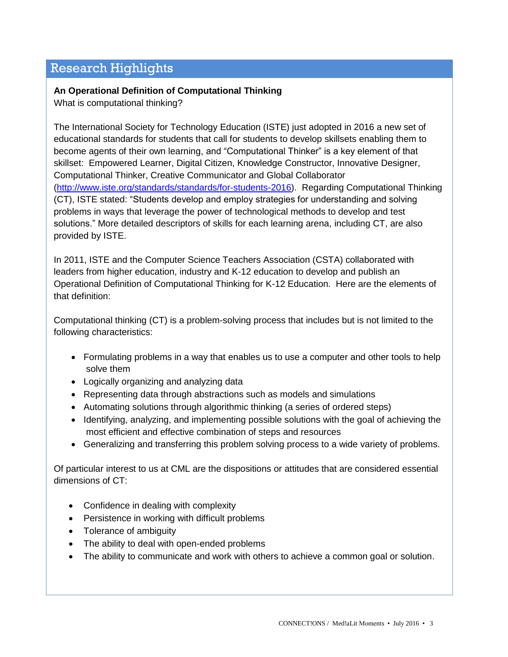## Research Highlights

## **An Operational Definition of Computational Thinking**

What is computational thinking?

The International Society for Technology Education (ISTE) just adopted in 2016 a new set of educational standards for students that call for students to develop skillsets enabling them to become agents of their own learning, and "Computational Thinker" is a key element of that skillset: Empowered Learner, Digital Citizen, Knowledge Constructor, Innovative Designer, Computational Thinker, Creative Communicator and Global Collaborator [\(http://www.iste.org/standards/standards/for-students-2016\)](http://www.iste.org/standards/standards/for-students-2016). Regarding Computational Thinking (CT), ISTE stated: "Students develop and employ strategies for understanding and solving problems in ways that leverage the power of technological methods to develop and test solutions." More detailed descriptors of skills for each learning arena, including CT, are also provided by ISTE.

In 2011, ISTE and the Computer Science Teachers Association (CSTA) collaborated with leaders from higher education, industry and K-12 education to develop and publish an Operational Definition of Computational Thinking for K-12 Education. Here are the elements of that definition:

Computational thinking (CT) is a problem-solving process that includes but is not limited to the following characteristics:

- Formulating problems in a way that enables us to use a computer and other tools to help solve them
- Logically organizing and analyzing data
- Representing data through abstractions such as models and simulations
- Automating solutions through algorithmic thinking (a series of ordered steps)
- Identifying, analyzing, and implementing possible solutions with the goal of achieving the most efficient and effective combination of steps and resources
- Generalizing and transferring this problem solving process to a wide variety of problems.

Of particular interest to us at CML are the dispositions or attitudes that are considered essential dimensions of CT:

- Confidence in dealing with complexity
- Persistence in working with difficult problems
- Tolerance of ambiguity
- The ability to deal with open-ended problems
- The ability to communicate and work with others to achieve a common goal or solution.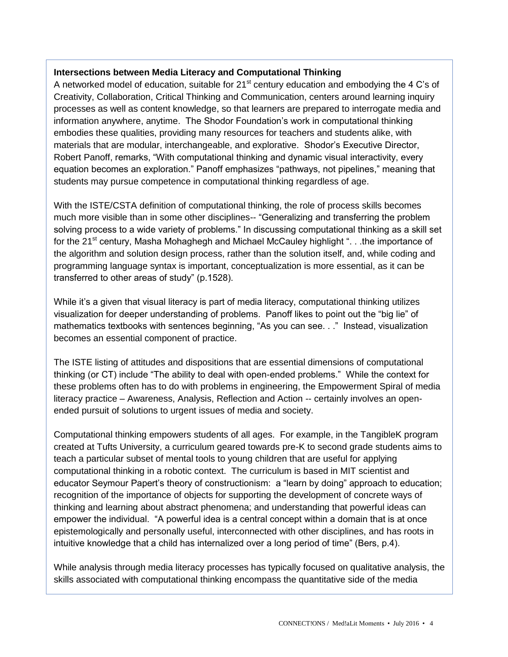## **Intersections between Media Literacy and Computational Thinking**

A networked model of education, suitable for  $21<sup>st</sup>$  century education and embodying the 4 C's of Creativity, Collaboration, Critical Thinking and Communication, centers around learning inquiry processes as well as content knowledge, so that learners are prepared to interrogate media and information anywhere, anytime. The Shodor Foundation's work in computational thinking embodies these qualities, providing many resources for teachers and students alike, with materials that are modular, interchangeable, and explorative. Shodor's Executive Director, Robert Panoff, remarks, "With computational thinking and dynamic visual interactivity, every equation becomes an exploration." Panoff emphasizes "pathways, not pipelines," meaning that students may pursue competence in computational thinking regardless of age.

With the ISTE/CSTA definition of computational thinking, the role of process skills becomes much more visible than in some other disciplines-- "Generalizing and transferring the problem solving process to a wide variety of problems." In discussing computational thinking as a skill set for the 21<sup>st</sup> century, Masha Mohaghegh and Michael McCauley highlight "... the importance of the algorithm and solution design process, rather than the solution itself, and, while coding and programming language syntax is important, conceptualization is more essential, as it can be transferred to other areas of study" (p.1528).

While it's a given that visual literacy is part of media literacy, computational thinking utilizes visualization for deeper understanding of problems. Panoff likes to point out the "big lie" of mathematics textbooks with sentences beginning, "As you can see. . ." Instead, visualization becomes an essential component of practice.

The ISTE listing of attitudes and dispositions that are essential dimensions of computational thinking (or CT) include "The ability to deal with open-ended problems." While the context for these problems often has to do with problems in engineering, the Empowerment Spiral of media literacy practice – Awareness, Analysis, Reflection and Action -- certainly involves an openended pursuit of solutions to urgent issues of media and society.

Computational thinking empowers students of all ages. For example, in the TangibleK program created at Tufts University, a curriculum geared towards pre-K to second grade students aims to teach a particular subset of mental tools to young children that are useful for applying computational thinking in a robotic context. The curriculum is based in MIT scientist and educator Seymour Papert's theory of constructionism: a "learn by doing" approach to education; recognition of the importance of objects for supporting the development of concrete ways of thinking and learning about abstract phenomena; and understanding that powerful ideas can empower the individual. "A powerful idea is a central concept within a domain that is at once epistemologically and personally useful, interconnected with other disciplines, and has roots in intuitive knowledge that a child has internalized over a long period of time" (Bers, p.4).

While analysis through media literacy processes has typically focused on qualitative analysis, the skills associated with computational thinking encompass the quantitative side of the media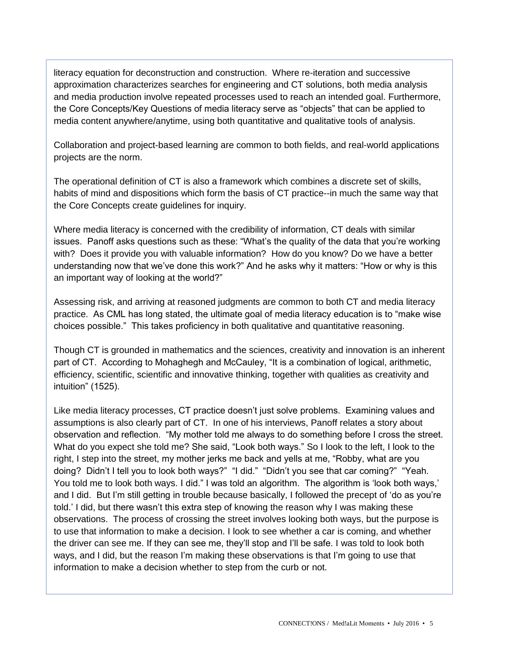literacy equation for deconstruction and construction. Where re-iteration and successive approximation characterizes searches for engineering and CT solutions, both media analysis and media production involve repeated processes used to reach an intended goal. Furthermore, the Core Concepts/Key Questions of media literacy serve as "objects" that can be applied to media content anywhere/anytime, using both quantitative and qualitative tools of analysis.

Collaboration and project-based learning are common to both fields, and real-world applications projects are the norm.

The operational definition of CT is also a framework which combines a discrete set of skills, habits of mind and dispositions which form the basis of CT practice--in much the same way that the Core Concepts create guidelines for inquiry.

Where media literacy is concerned with the credibility of information, CT deals with similar issues. Panoff asks questions such as these: "What's the quality of the data that you're working with? Does it provide you with valuable information? How do you know? Do we have a better understanding now that we've done this work?" And he asks why it matters: "How or why is this an important way of looking at the world?"

Assessing risk, and arriving at reasoned judgments are common to both CT and media literacy practice. As CML has long stated, the ultimate goal of media literacy education is to "make wise choices possible." This takes proficiency in both qualitative and quantitative reasoning.

Though CT is grounded in mathematics and the sciences, creativity and innovation is an inherent part of CT. According to Mohaghegh and McCauley, "It is a combination of logical, arithmetic, efficiency, scientific, scientific and innovative thinking, together with qualities as creativity and intuition" (1525).

Like media literacy processes, CT practice doesn't just solve problems. Examining values and assumptions is also clearly part of CT. In one of his interviews, Panoff relates a story about observation and reflection. "My mother told me always to do something before I cross the street. What do you expect she told me? She said, "Look both ways." So I look to the left, I look to the right, I step into the street, my mother jerks me back and yells at me, "Robby, what are you doing? Didn't I tell you to look both ways?" "I did." "Didn't you see that car coming?" "Yeah. You told me to look both ways. I did." I was told an algorithm. The algorithm is 'look both ways,' and I did. But I'm still getting in trouble because basically, I followed the precept of 'do as you're told.' I did, but there wasn't this extra step of knowing the reason why I was making these observations. The process of crossing the street involves looking both ways, but the purpose is to use that information to make a decision. I look to see whether a car is coming, and whether the driver can see me. If they can see me, they'll stop and I'll be safe. I was told to look both ways, and I did, but the reason I'm making these observations is that I'm going to use that information to make a decision whether to step from the curb or not.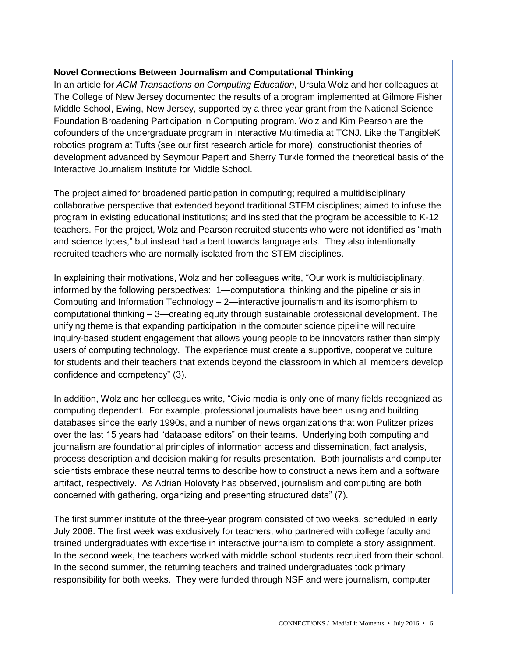## **Novel Connections Between Journalism and Computational Thinking**

In an article for *ACM Transactions on Computing Education*, Ursula Wolz and her colleagues at The College of New Jersey documented the results of a program implemented at Gilmore Fisher Middle School, Ewing, New Jersey, supported by a three year grant from the National Science Foundation Broadening Participation in Computing program. Wolz and Kim Pearson are the cofounders of the undergraduate program in Interactive Multimedia at TCNJ. Like the TangibleK robotics program at Tufts (see our first research article for more), constructionist theories of development advanced by Seymour Papert and Sherry Turkle formed the theoretical basis of the Interactive Journalism Institute for Middle School.

The project aimed for broadened participation in computing; required a multidisciplinary collaborative perspective that extended beyond traditional STEM disciplines; aimed to infuse the program in existing educational institutions; and insisted that the program be accessible to K-12 teachers. For the project, Wolz and Pearson recruited students who were not identified as "math and science types," but instead had a bent towards language arts. They also intentionally recruited teachers who are normally isolated from the STEM disciplines.

In explaining their motivations, Wolz and her colleagues write, "Our work is multidisciplinary, informed by the following perspectives: 1—computational thinking and the pipeline crisis in Computing and Information Technology – 2—interactive journalism and its isomorphism to computational thinking – 3—creating equity through sustainable professional development. The unifying theme is that expanding participation in the computer science pipeline will require inquiry-based student engagement that allows young people to be innovators rather than simply users of computing technology. The experience must create a supportive, cooperative culture for students and their teachers that extends beyond the classroom in which all members develop confidence and competency" (3).

In addition, Wolz and her colleagues write, "Civic media is only one of many fields recognized as computing dependent. For example, professional journalists have been using and building databases since the early 1990s, and a number of news organizations that won Pulitzer prizes over the last 15 years had "database editors" on their teams. Underlying both computing and journalism are foundational principles of information access and dissemination, fact analysis, process description and decision making for results presentation. Both journalists and computer scientists embrace these neutral terms to describe how to construct a news item and a software artifact, respectively. As Adrian Holovaty has observed, journalism and computing are both concerned with gathering, organizing and presenting structured data" (7).

The first summer institute of the three-year program consisted of two weeks, scheduled in early July 2008. The first week was exclusively for teachers, who partnered with college faculty and trained undergraduates with expertise in interactive journalism to complete a story assignment. In the second week, the teachers worked with middle school students recruited from their school. In the second summer, the returning teachers and trained undergraduates took primary responsibility for both weeks. They were funded through NSF and were journalism, computer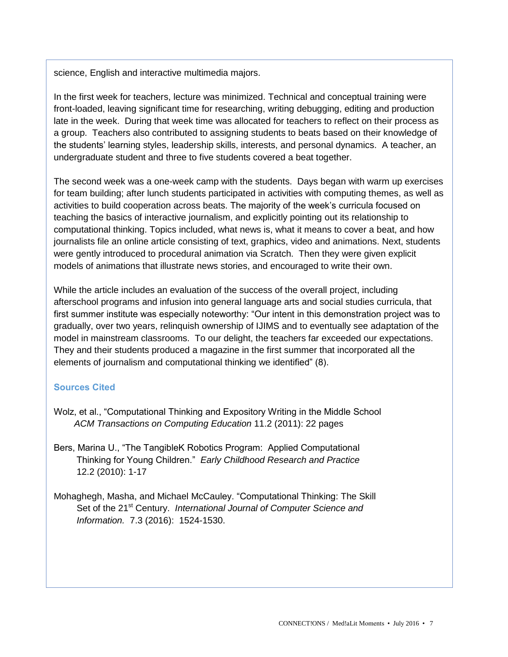science, English and interactive multimedia majors.

In the first week for teachers, lecture was minimized. Technical and conceptual training were front-loaded, leaving significant time for researching, writing debugging, editing and production late in the week. During that week time was allocated for teachers to reflect on their process as a group. Teachers also contributed to assigning students to beats based on their knowledge of the students' learning styles, leadership skills, interests, and personal dynamics. A teacher, an undergraduate student and three to five students covered a beat together.

The second week was a one-week camp with the students. Days began with warm up exercises for team building; after lunch students participated in activities with computing themes, as well as activities to build cooperation across beats. The majority of the week's curricula focused on teaching the basics of interactive journalism, and explicitly pointing out its relationship to computational thinking. Topics included, what news is, what it means to cover a beat, and how journalists file an online article consisting of text, graphics, video and animations. Next, students were gently introduced to procedural animation via Scratch. Then they were given explicit models of animations that illustrate news stories, and encouraged to write their own.

While the article includes an evaluation of the success of the overall project, including afterschool programs and infusion into general language arts and social studies curricula, that first summer institute was especially noteworthy: "Our intent in this demonstration project was to gradually, over two years, relinquish ownership of IJIMS and to eventually see adaptation of the model in mainstream classrooms. To our delight, the teachers far exceeded our expectations. They and their students produced a magazine in the first summer that incorporated all the elements of journalism and computational thinking we identified" (8).

#### **Sources Cited**

- Wolz, et al., "Computational Thinking and Expository Writing in the Middle School *ACM Transactions on Computing Education* 11.2 (2011): 22 pages
- Bers, Marina U., "The TangibleK Robotics Program: Applied Computational Thinking for Young Children." *Early Childhood Research and Practice* 12.2 (2010): 1-17
- Mohaghegh, Masha, and Michael McCauley. "Computational Thinking: The Skill Set of the 21<sup>st</sup> Century. *International Journal of Computer Science and Information.* 7.3 (2016): 1524-1530.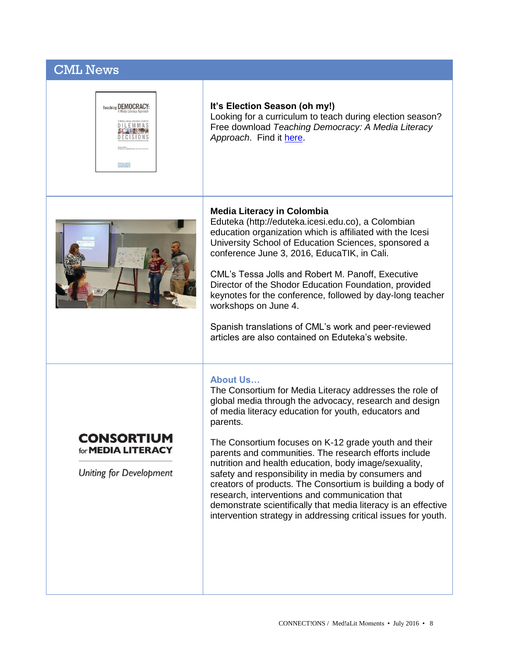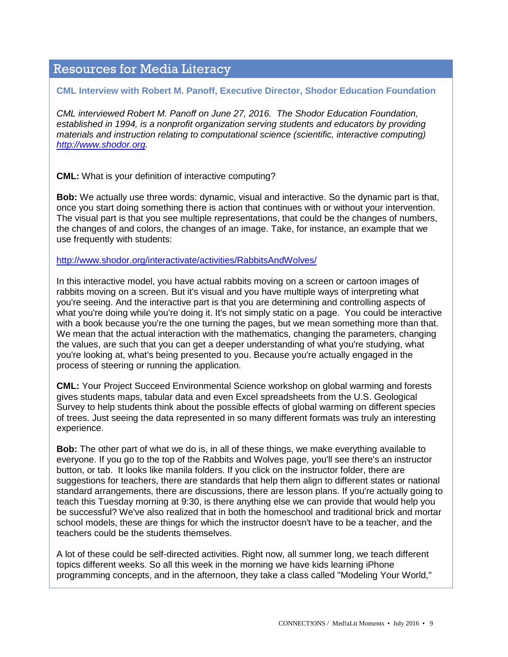# Resources for Media Literacy

#### **CML Interview with Robert M. Panoff, Executive Director, Shodor Education Foundation**

*CML interviewed Robert M. Panoff on June 27, 2016. The Shodor Education Foundation, established in 1994, is a nonprofit organization serving students and educators by providing materials and instruction relating to computational science (scientific, interactive computing) [http://www.shodor.org.](http://www.shodor.org/)*

**CML:** What is your definition of interactive computing?

**Bob:** We actually use three words: dynamic, visual and interactive. So the dynamic part is that, once you start doing something there is action that continues with or without your intervention. The visual part is that you see multiple representations, that could be the changes of numbers, the changes of and colors, the changes of an image. Take, for instance, an example that we use frequently with students:

<http://www.shodor.org/interactivate/activities/RabbitsAndWolves/>

In this interactive model, you have actual rabbits moving on a screen or cartoon images of rabbits moving on a screen. But it's visual and you have multiple ways of interpreting what you're seeing. And the interactive part is that you are determining and controlling aspects of what you're doing while you're doing it. It's not simply static on a page. You could be interactive with a book because you're the one turning the pages, but we mean something more than that. We mean that the actual interaction with the mathematics, changing the parameters, changing the values, are such that you can get a deeper understanding of what you're studying, what you're looking at, what's being presented to you. Because you're actually engaged in the process of steering or running the application.

**CML:** Your Project Succeed Environmental Science workshop on global warming and forests gives students maps, tabular data and even Excel spreadsheets from the U.S. Geological Survey to help students think about the possible effects of global warming on different species of trees. Just seeing the data represented in so many different formats was truly an interesting experience.

**Bob:** The other part of what we do is, in all of these things, we make everything available to everyone. If you go to the top of the Rabbits and Wolves page, you'll see there's an instructor button, or tab. It looks like manila folders. If you click on the instructor folder, there are suggestions for teachers, there are standards that help them align to different states or national standard arrangements, there are discussions, there are lesson plans. If you're actually going to teach this Tuesday morning at 9:30, is there anything else we can provide that would help you be successful? We've also realized that in both the homeschool and traditional brick and mortar school models, these are things for which the instructor doesn't have to be a teacher, and the teachers could be the students themselves.

A lot of these could be self-directed activities. Right now, all summer long, we teach different topics different weeks. So all this week in the morning we have kids learning iPhone programming concepts, and in the afternoon, they take a class called "Modeling Your World,"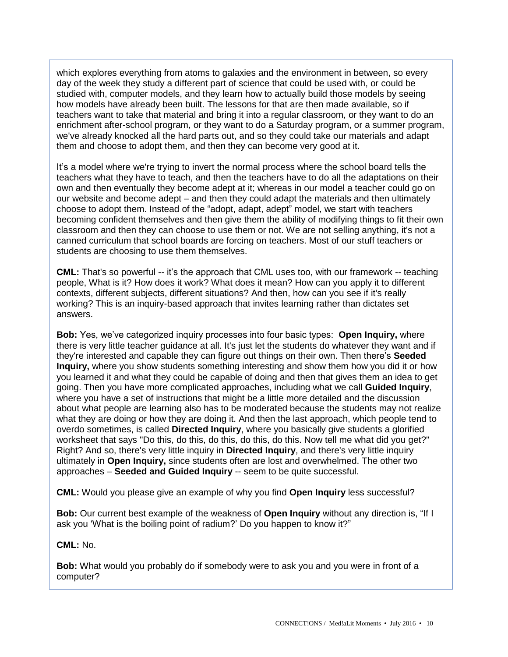which explores everything from atoms to galaxies and the environment in between, so every day of the week they study a different part of science that could be used with, or could be studied with, computer models, and they learn how to actually build those models by seeing how models have already been built. The lessons for that are then made available, so if teachers want to take that material and bring it into a regular classroom, or they want to do an enrichment after-school program, or they want to do a Saturday program, or a summer program, we've already knocked all the hard parts out, and so they could take our materials and adapt them and choose to adopt them, and then they can become very good at it.

It's a model where we're trying to invert the normal process where the school board tells the teachers what they have to teach, and then the teachers have to do all the adaptations on their own and then eventually they become adept at it; whereas in our model a teacher could go on our website and become adept – and then they could adapt the materials and then ultimately choose to adopt them. Instead of the "adopt, adapt, adept" model, we start with teachers becoming confident themselves and then give them the ability of modifying things to fit their own classroom and then they can choose to use them or not. We are not selling anything, it's not a canned curriculum that school boards are forcing on teachers. Most of our stuff teachers or students are choosing to use them themselves.

**CML:** That's so powerful -- it's the approach that CML uses too, with our framework -- teaching people, What is it? How does it work? What does it mean? How can you apply it to different contexts, different subjects, different situations? And then, how can you see if it's really working? This is an inquiry-based approach that invites learning rather than dictates set answers.

**Bob:** Yes, we've categorized inquiry processes into four basic types: **Open Inquiry,** where there is very little teacher guidance at all. It's just let the students do whatever they want and if they're interested and capable they can figure out things on their own. Then there's **Seeded Inquiry,** where you show students something interesting and show them how you did it or how you learned it and what they could be capable of doing and then that gives them an idea to get going. Then you have more complicated approaches, including what we call **Guided Inquiry**, where you have a set of instructions that might be a little more detailed and the discussion about what people are learning also has to be moderated because the students may not realize what they are doing or how they are doing it. And then the last approach, which people tend to overdo sometimes, is called **Directed Inquiry**, where you basically give students a glorified worksheet that says "Do this, do this, do this, do this, do this. Now tell me what did you get?" Right? And so, there's very little inquiry in **Directed Inquiry**, and there's very little inquiry ultimately in **Open Inquiry,** since students often are lost and overwhelmed. The other two approaches – **Seeded and Guided Inquiry** -- seem to be quite successful.

**CML:** Would you please give an example of why you find **Open Inquiry** less successful?

**Bob:** Our current best example of the weakness of **Open Inquiry** without any direction is, "If I ask you 'What is the boiling point of radium?' Do you happen to know it?"

#### **CML:** No.

**Bob:** What would you probably do if somebody were to ask you and you were in front of a computer?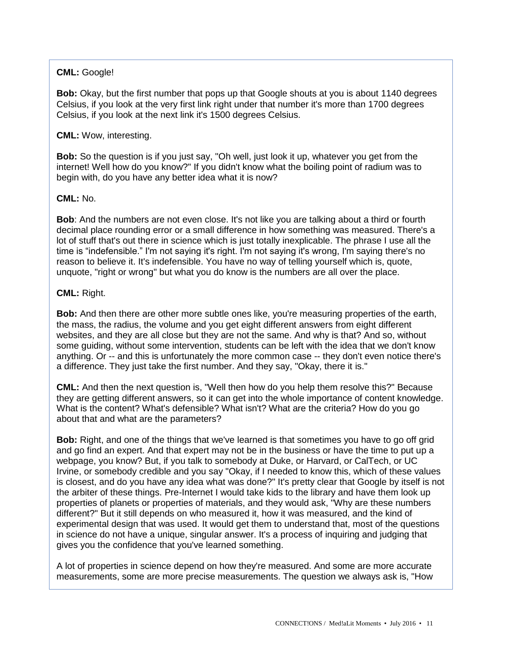#### **CML:** Google!

**Bob:** Okay, but the first number that pops up that Google shouts at you is about 1140 degrees Celsius, if you look at the very first link right under that number it's more than 1700 degrees Celsius, if you look at the next link it's 1500 degrees Celsius.

#### **CML:** Wow, interesting.

**Bob:** So the question is if you just say, "Oh well, just look it up, whatever you get from the internet! Well how do you know?" If you didn't know what the boiling point of radium was to begin with, do you have any better idea what it is now?

#### **CML:** No.

**Bob**: And the numbers are not even close. It's not like you are talking about a third or fourth decimal place rounding error or a small difference in how something was measured. There's a lot of stuff that's out there in science which is just totally inexplicable. The phrase I use all the time is "indefensible." I'm not saying it's right. I'm not saying it's wrong, I'm saying there's no reason to believe it. It's indefensible. You have no way of telling yourself which is, quote, unquote, "right or wrong" but what you do know is the numbers are all over the place.

#### **CML:** Right.

**Bob:** And then there are other more subtle ones like, you're measuring properties of the earth, the mass, the radius, the volume and you get eight different answers from eight different websites, and they are all close but they are not the same. And why is that? And so, without some guiding, without some intervention, students can be left with the idea that we don't know anything. Or -- and this is unfortunately the more common case -- they don't even notice there's a difference. They just take the first number. And they say, "Okay, there it is."

**CML:** And then the next question is, "Well then how do you help them resolve this?" Because they are getting different answers, so it can get into the whole importance of content knowledge. What is the content? What's defensible? What isn't? What are the criteria? How do you go about that and what are the parameters?

**Bob:** Right, and one of the things that we've learned is that sometimes you have to go off grid and go find an expert. And that expert may not be in the business or have the time to put up a webpage, you know? But, if you talk to somebody at Duke, or Harvard, or CalTech, or UC Irvine, or somebody credible and you say "Okay, if I needed to know this, which of these values is closest, and do you have any idea what was done?" It's pretty clear that Google by itself is not the arbiter of these things. Pre-Internet I would take kids to the library and have them look up properties of planets or properties of materials, and they would ask, "Why are these numbers different?" But it still depends on who measured it, how it was measured, and the kind of experimental design that was used. It would get them to understand that, most of the questions in science do not have a unique, singular answer. It's a process of inquiring and judging that gives you the confidence that you've learned something.

A lot of properties in science depend on how they're measured. And some are more accurate measurements, some are more precise measurements. The question we always ask is, "How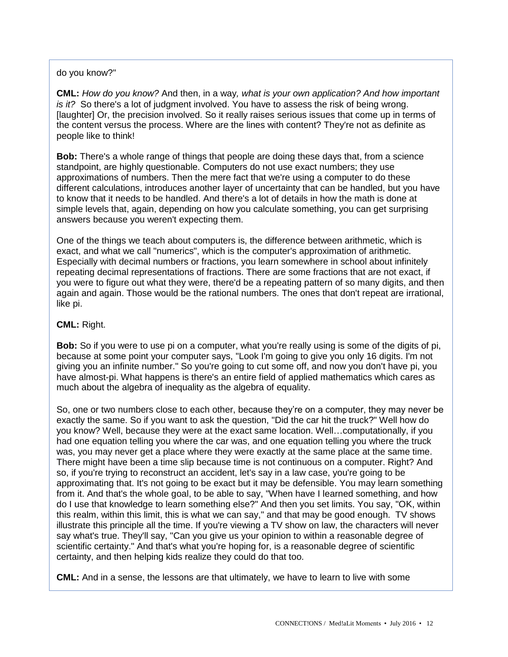#### do you know?"

**CML:** *How do you know?* And then, in a way*, what is your own application? And how important is it?* So there's a lot of judgment involved. You have to assess the risk of being wrong. [laughter] Or, the precision involved. So it really raises serious issues that come up in terms of the content versus the process. Where are the lines with content? They're not as definite as people like to think!

**Bob:** There's a whole range of things that people are doing these days that, from a science standpoint, are highly questionable. Computers do not use exact numbers; they use approximations of numbers. Then the mere fact that we're using a computer to do these different calculations, introduces another layer of uncertainty that can be handled, but you have to know that it needs to be handled. And there's a lot of details in how the math is done at simple levels that, again, depending on how you calculate something, you can get surprising answers because you weren't expecting them.

One of the things we teach about computers is, the difference between arithmetic, which is exact, and what we call "numerics", which is the computer's approximation of arithmetic. Especially with decimal numbers or fractions, you learn somewhere in school about infinitely repeating decimal representations of fractions. There are some fractions that are not exact, if you were to figure out what they were, there'd be a repeating pattern of so many digits, and then again and again. Those would be the rational numbers. The ones that don't repeat are irrational, like pi.

#### **CML:** Right.

**Bob:** So if you were to use pi on a computer, what you're really using is some of the digits of pi, because at some point your computer says, "Look I'm going to give you only 16 digits. I'm not giving you an infinite number." So you're going to cut some off, and now you don't have pi, you have almost-pi. What happens is there's an entire field of applied mathematics which cares as much about the algebra of inequality as the algebra of equality.

So, one or two numbers close to each other, because they're on a computer, they may never be exactly the same. So if you want to ask the question, "Did the car hit the truck?" Well how do you know? Well, because they were at the exact same location. Well…computationally, if you had one equation telling you where the car was, and one equation telling you where the truck was, you may never get a place where they were exactly at the same place at the same time. There might have been a time slip because time is not continuous on a computer. Right? And so, if you're trying to reconstruct an accident, let's say in a law case, you're going to be approximating that. It's not going to be exact but it may be defensible. You may learn something from it. And that's the whole goal, to be able to say, "When have I learned something, and how do I use that knowledge to learn something else?" And then you set limits. You say, "OK, within this realm, within this limit, this is what we can say," and that may be good enough. TV shows illustrate this principle all the time. If you're viewing a TV show on law, the characters will never say what's true. They'll say, "Can you give us your opinion to within a reasonable degree of scientific certainty." And that's what you're hoping for, is a reasonable degree of scientific certainty, and then helping kids realize they could do that too.

**CML:** And in a sense, the lessons are that ultimately, we have to learn to live with some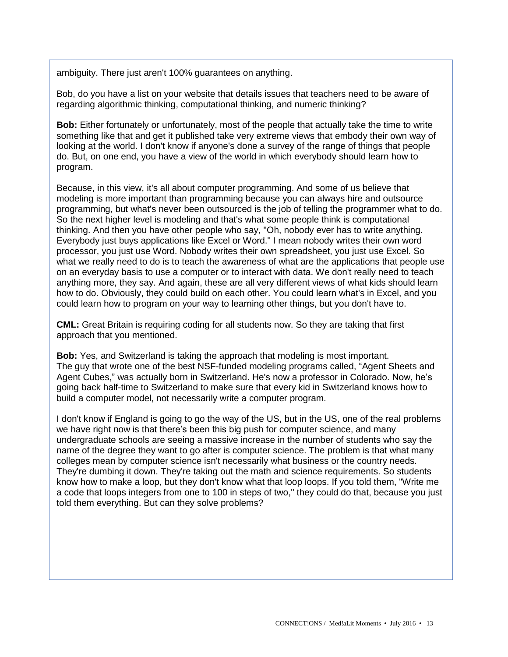ambiguity. There just aren't 100% guarantees on anything.

Bob, do you have a list on your website that details issues that teachers need to be aware of regarding algorithmic thinking, computational thinking, and numeric thinking?

**Bob:** Either fortunately or unfortunately, most of the people that actually take the time to write something like that and get it published take very extreme views that embody their own way of looking at the world. I don't know if anyone's done a survey of the range of things that people do. But, on one end, you have a view of the world in which everybody should learn how to program.

Because, in this view, it's all about computer programming. And some of us believe that modeling is more important than programming because you can always hire and outsource programming, but what's never been outsourced is the job of telling the programmer what to do. So the next higher level is modeling and that's what some people think is computational thinking. And then you have other people who say, "Oh, nobody ever has to write anything. Everybody just buys applications like Excel or Word." I mean nobody writes their own word processor, you just use Word. Nobody writes their own spreadsheet, you just use Excel. So what we really need to do is to teach the awareness of what are the applications that people use on an everyday basis to use a computer or to interact with data. We don't really need to teach anything more, they say. And again, these are all very different views of what kids should learn how to do. Obviously, they could build on each other. You could learn what's in Excel, and you could learn how to program on your way to learning other things, but you don't have to.

**CML:** Great Britain is requiring coding for all students now. So they are taking that first approach that you mentioned.

**Bob:** Yes, and Switzerland is taking the approach that modeling is most important. The guy that wrote one of the best NSF-funded modeling programs called, "Agent Sheets and Agent Cubes," was actually born in Switzerland. He's now a professor in Colorado. Now, he's going back half-time to Switzerland to make sure that every kid in Switzerland knows how to build a computer model, not necessarily write a computer program.

I don't know if England is going to go the way of the US, but in the US, one of the real problems we have right now is that there's been this big push for computer science, and many undergraduate schools are seeing a massive increase in the number of students who say the name of the degree they want to go after is computer science. The problem is that what many colleges mean by computer science isn't necessarily what business or the country needs. They're dumbing it down. They're taking out the math and science requirements. So students know how to make a loop, but they don't know what that loop loops. If you told them, "Write me a code that loops integers from one to 100 in steps of two," they could do that, because you just told them everything. But can they solve problems?